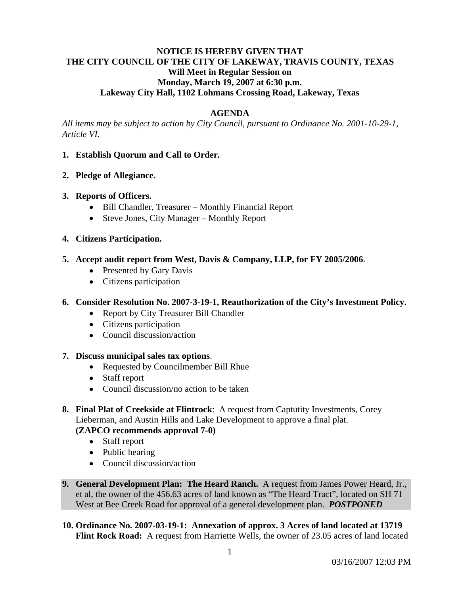## **NOTICE IS HEREBY GIVEN THAT THE CITY COUNCIL OF THE CITY OF LAKEWAY, TRAVIS COUNTY, TEXAS Will Meet in Regular Session on Monday, March 19, 2007 at 6:30 p.m. Lakeway City Hall, 1102 Lohmans Crossing Road, Lakeway, Texas**

## **AGENDA**

*All items may be subject to action by City Council, pursuant to Ordinance No. 2001-10-29-1, Article VI.* 

### **1. Establish Quorum and Call to Order.**

### **2. Pledge of Allegiance.**

### **3. Reports of Officers.**

- Bill Chandler, Treasurer Monthly Financial Report
- Steve Jones, City Manager Monthly Report

### **4. Citizens Participation.**

- **5. Accept audit report from West, Davis & Company, LLP, for FY 2005/2006**.
	- Presented by Gary Davis
	- Citizens participation

## **6. Consider Resolution No. 2007-3-19-1, Reauthorization of the City's Investment Policy.**

- Report by City Treasurer Bill Chandler
- Citizens participation
- Council discussion/action

#### **7. Discuss municipal sales tax options**.

- Requested by Councilmember Bill Rhue
- Staff report
- Council discussion/no action to be taken
- **8. Final Plat of Creekside at Flintrock**: A request from Captutity Investments, Corey Lieberman, and Austin Hills and Lake Development to approve a final plat.

# **(ZAPCO recommends approval 7-0)**

- Staff report
- Public hearing
- Council discussion/action
- **9. General Development Plan: The Heard Ranch.** A request from James Power Heard, Jr., et al, the owner of the 456.63 acres of land known as "The Heard Tract", located on SH 71 West at Bee Creek Road for approval of a general development plan. *POSTPONED*
- **10. Ordinance No. 2007-03-19-1: Annexation of approx. 3 Acres of land located at 13719 Flint Rock Road:** A request from Harriette Wells, the owner of 23.05 acres of land located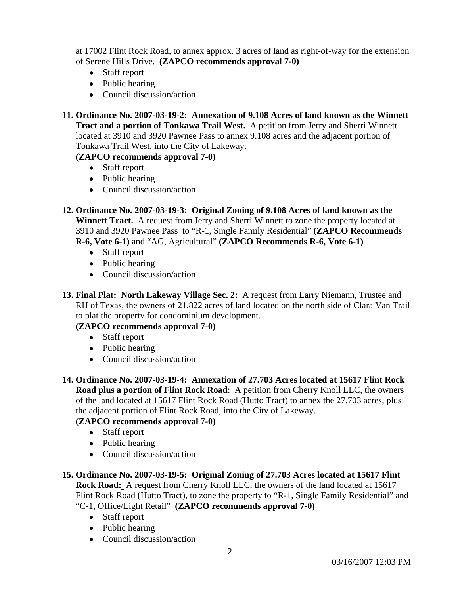at 17002 Flint Rock Road, to annex approx. 3 acres of land as right-of-way for the extension of Serene Hills Drive. **(ZAPCO recommends approval 7-0)** 

- Staff report
- Public hearing
- Council discussion/action

**11. Ordinance No. 2007-03-19-2: Annexation of 9.108 Acres of land known as the Winnett Tract and a portion of Tonkawa Trail West.** A petition from Jerry and Sherri Winnett located at 3910 and 3920 Pawnee Pass to annex 9.108 acres and the adjacent portion of Tonkawa Trail West, into the City of Lakeway.

# **(ZAPCO recommends approval 7-0)**

- Staff report
- Public hearing
- Council discussion/action

**12. Ordinance No. 2007-03-19-3: Original Zoning of 9.108 Acres of land known as the Winnett Tract.** A request from Jerry and Sherri Winnett to zone the property located at 3910 and 3920 Pawnee Pass to "R-1, Single Family Residential" **(ZAPCO Recommends R-6, Vote 6-1)** and "AG, Agricultural" **(ZAPCO Recommends R-6, Vote 6-1)** 

- Staff report
- Public hearing
- Council discussion/action
- **13. Final Plat: North Lakeway Village Sec. 2:** A request from Larry Niemann, Trustee and RH of Texas, the owners of 21.822 acres of land located on the north side of Clara Van Trail to plat the property for condominium development.

# **(ZAPCO recommends approval 7-0)**

- Staff report
- Public hearing
- Council discussion/action
- **14. Ordinance No. 2007-03-19-4: Annexation of 27.703 Acres located at 15617 Flint Rock Road plus a portion of Flint Rock Road**: A petition from Cherry Knoll LLC, the owners of the land located at 15617 Flint Rock Road (Hutto Tract) to annex the 27.703 acres, plus the adjacent portion of Flint Rock Road, into the City of Lakeway.

# **(ZAPCO recommends approval 7-0)**

- Staff report
- Public hearing
- Council discussion/action

# **15. Ordinance No. 2007-03-19-5: Original Zoning of 27.703 Acres located at 15617 Flint**

**Rock Road:** A request from Cherry Knoll LLC, the owners of the land located at 15617 Flint Rock Road (Hutto Tract), to zone the property to "R-1, Single Family Residential" and "C-1, Office/Light Retail" **(ZAPCO recommends approval 7-0)**

- Staff report
- Public hearing
- Council discussion/action